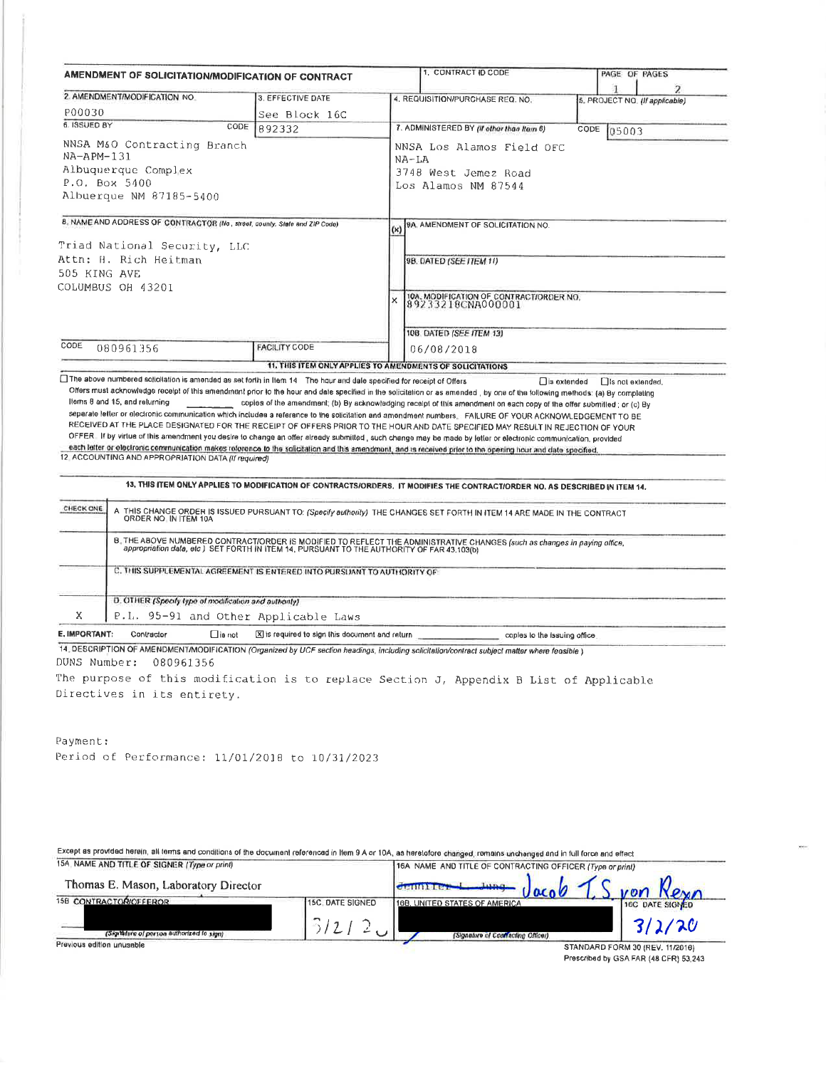| AMENDMENT OF SOLICITATION/MODIFICATION OF CONTRACT |                                                                                                                                                          |                                                                                   | 1. CONTRACT ID CODE |                                                                                                                                                                                                                                                                                                                                                                                                                                                                                                                                                                                                                                                                                                                                                                                                                                                                                                                                         | PAGE OF PAGES      |                                |
|----------------------------------------------------|----------------------------------------------------------------------------------------------------------------------------------------------------------|-----------------------------------------------------------------------------------|---------------------|-----------------------------------------------------------------------------------------------------------------------------------------------------------------------------------------------------------------------------------------------------------------------------------------------------------------------------------------------------------------------------------------------------------------------------------------------------------------------------------------------------------------------------------------------------------------------------------------------------------------------------------------------------------------------------------------------------------------------------------------------------------------------------------------------------------------------------------------------------------------------------------------------------------------------------------------|--------------------|--------------------------------|
|                                                    | 2. AMENDMENT/MODIFICATION NO                                                                                                                             | 3. EFFECTIVE DATE                                                                 |                     | 4. REQUISITION/PURCHASE REQ. NO.                                                                                                                                                                                                                                                                                                                                                                                                                                                                                                                                                                                                                                                                                                                                                                                                                                                                                                        |                    | 5. PROJECT NO. (If applicable) |
| P00030                                             |                                                                                                                                                          | See Block 16C                                                                     |                     |                                                                                                                                                                                                                                                                                                                                                                                                                                                                                                                                                                                                                                                                                                                                                                                                                                                                                                                                         |                    |                                |
| 6. ISSUED BY                                       | CODE                                                                                                                                                     | 892332                                                                            |                     | 7. ADMINISTERED BY (If other than Item 6)                                                                                                                                                                                                                                                                                                                                                                                                                                                                                                                                                                                                                                                                                                                                                                                                                                                                                               | CODE               | 05003                          |
| NA-APM-131                                         | NNSA M&O Contracting Branch<br>Albuquerque Complex<br>P.O. Box 5400<br>Albuerque NM 87185-5400                                                           |                                                                                   | $NA-LA$             | NNSA Los Alamos Field OFC<br>3748 West Jemez Road<br>Los Alamos NM 87544                                                                                                                                                                                                                                                                                                                                                                                                                                                                                                                                                                                                                                                                                                                                                                                                                                                                |                    |                                |
| 505 KING AVE                                       | B. NAME AND ADDRESS OF CONTRACTOR (No. street, county, State and ZIP Code)<br>Triad National Security, LLC<br>Attn: H. Rich Heitman<br>COLUMBUS OH 43201 |                                                                                   | (x<br>×             | <b>9A. AMENOMENT OF SOLICITATION NO.</b><br>9B. DATED (SEE ITEM 11)<br>10A. MODIFICATION OF CONTRACT/ORDER NO.<br>89233218CNA000001<br>10B DATED (SEE ITEM 13)                                                                                                                                                                                                                                                                                                                                                                                                                                                                                                                                                                                                                                                                                                                                                                          |                    |                                |
|                                                    |                                                                                                                                                          |                                                                                   |                     |                                                                                                                                                                                                                                                                                                                                                                                                                                                                                                                                                                                                                                                                                                                                                                                                                                                                                                                                         |                    |                                |
|                                                    |                                                                                                                                                          |                                                                                   |                     |                                                                                                                                                                                                                                                                                                                                                                                                                                                                                                                                                                                                                                                                                                                                                                                                                                                                                                                                         |                    |                                |
| CODE                                               | 080961356<br>□ The above numbered scilcitation is amended as set forth in Item 14 The hour and dale specified for receipt of Offers                      | <b>FACILITY CODE</b><br>11. THIS ITEM ONLY APPLIES TO AMENDMENTS OF SOLICITATIONS |                     | 06/08/2018                                                                                                                                                                                                                                                                                                                                                                                                                                                                                                                                                                                                                                                                                                                                                                                                                                                                                                                              | $\Box$ is extended | □Is not extended,              |
|                                                    | Items 8 and 15, and returning<br>12 ACCOUNTING AND APPROPRIATION DATA (If required)                                                                      |                                                                                   |                     | Offers must acknowledge recelpt of this amendment prior to the hour and date specified in the solicitation or as amonded, by one of the following methods: (a) By completing<br>copies of the amendment; (b) By acknowledging receipt of this amendment on each copy of the offer submitted; or (c) By<br>separate letter or electronic communication which includes a reference to the solicitation and amendment numbers. FAILURE OF YOUR ACKNOWLEDGEMENT TO BE<br>RECEIVED AT THE PLACE DESIGNATED FOR THE RECEIPT OF OFFERS PRIOR TO THE HOUR AND DATE SPECIFIED MAY RESULT IN REJECTION OF YOUR<br>OFFER. If by virtue of this amendment you desire to change an offer already submitted, such change may be made by letter or electronic communication, provided<br>each letter or electronic communication makes reference to the solicitation and this amendment, and is received prior to the opening hour and date specified. |                    |                                |
|                                                    |                                                                                                                                                          |                                                                                   |                     | 13. THIS ITEM ONLY APPLIES TO MODIFICATION OF CONTRACTS/ORDERS. IT MODIFIES THE CONTRACT/ORDER NO. AS DESCRIBED IN ITEM 14.                                                                                                                                                                                                                                                                                                                                                                                                                                                                                                                                                                                                                                                                                                                                                                                                             |                    |                                |
| CHECK ONE                                          |                                                                                                                                                          |                                                                                   |                     | A THIS CHANGE ORDER IS ISSUED PURSUANT TO: (Specify authority) THE CHANGES SET FORTH IN ITEM 14 ARE MADE IN THE CONTRACT ORDER NO. IN ITEM 10A                                                                                                                                                                                                                                                                                                                                                                                                                                                                                                                                                                                                                                                                                                                                                                                          |                    |                                |
|                                                    |                                                                                                                                                          |                                                                                   |                     | B. THE ABOVE NUMBERED CONTRACT/ORDER IS MODIFIED TO REFLECT THE ADMINISTRATIVE CHANGES (such as changes in paying office, appropriation data, etc) SET FORTH IN ITEM 14, PURSUANT TO THE AUTHORITY OF FAR 43.103(b)                                                                                                                                                                                                                                                                                                                                                                                                                                                                                                                                                                                                                                                                                                                     |                    |                                |
|                                                    | C. THIS SUPPLEMENTAL AGREEMENT IS ENTERED INTO PURSUANT TO AUTHORITY OF:                                                                                 |                                                                                   |                     |                                                                                                                                                                                                                                                                                                                                                                                                                                                                                                                                                                                                                                                                                                                                                                                                                                                                                                                                         |                    |                                |
|                                                    | D. OTHER (Specify type of modification and authority)                                                                                                    |                                                                                   |                     |                                                                                                                                                                                                                                                                                                                                                                                                                                                                                                                                                                                                                                                                                                                                                                                                                                                                                                                                         |                    |                                |
| Χ                                                  | P.I. 95-91 and Other Applicable Laws                                                                                                                     |                                                                                   |                     |                                                                                                                                                                                                                                                                                                                                                                                                                                                                                                                                                                                                                                                                                                                                                                                                                                                                                                                                         |                    |                                |

DUNS Number: 080961356

The purpose of this modification is to replace Section J, Appendix B List of Applicable Directives in its entirety.

Payment: Period of Performance: 11/01/2018 to 10/31/2023

Except as provided herein, all terms and conditions of the document referenced in Item 9 A or 10A, as heretofore changed, remains unchanged and in full force and effect 15A NAME AND TITLE OF SIGNER (Type or print) 16A NAME AND TITLE OF CONTRACTING OFFICER (Type or print) Thomas E. Mason, Laboratory Director Jemni Lt  $\sim$ **15B CONTRACTOR/OFFEROR** 15C DATE SIGNED 16B, UNITED STATES OF AMERICA **EC**  $3/2/2$ 312/20 (Sigiliture of person authorized to sign) (Signature of Coartacting Officer)

Previous edition unusable

STANDARD FORM 30 (REV. 11/2016) Prescribed by GSA FAR (48 CFR) 53,243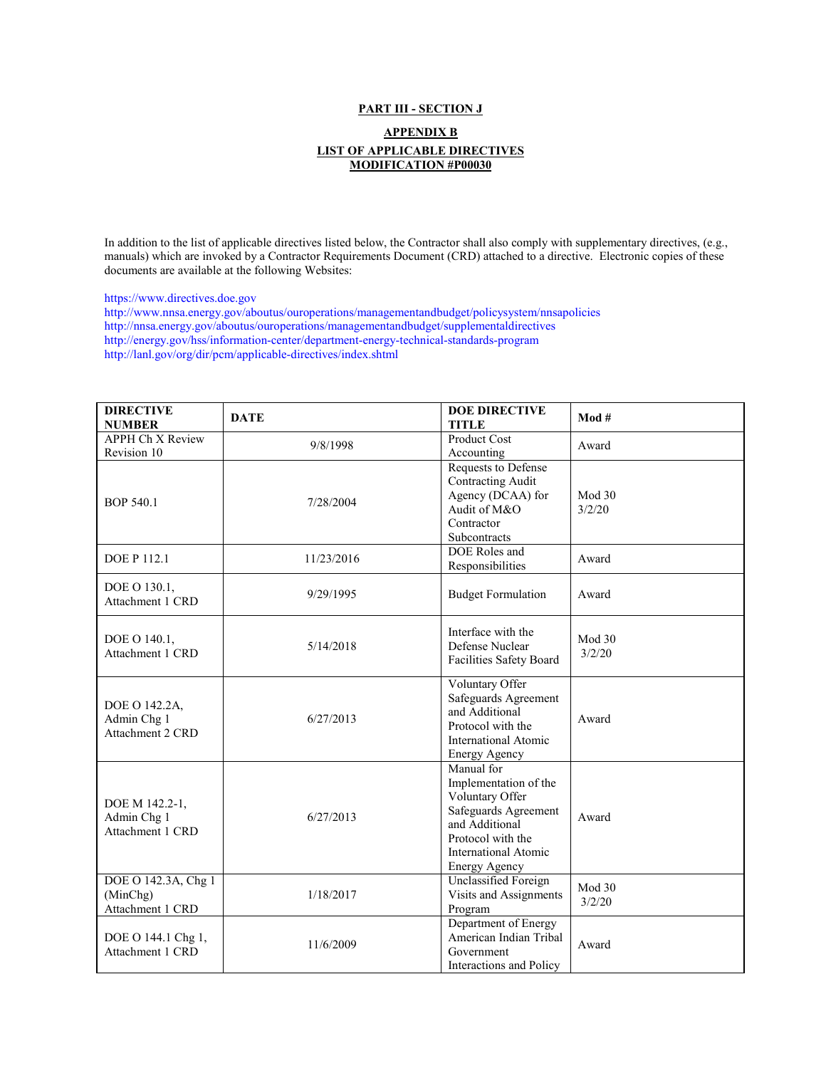## **PART III - SECTION J**

## **APPENDIX B LIST OF APPLICABLE DIRECTIVES MODIFICATION #P00030**

[In addition to the list of applicable directives listed below, the Contractor shall also comply with supplementary directives, \(e.g.,](https://www.directives.doe.gov/)  [manuals\) which are invoked by a Contractor Requirements Document \(CRD\) attached to a directive. Electronic copies of these](https://www.directives.doe.gov/)  [documents are available at the following Websites:](https://www.directives.doe.gov/)

[https://www.directives.doe.gov](https://www.directives.doe.gov/) 

[http://www.nnsa.energy.gov/aboutus/ouroperations/managementandbudget/policysystem/nnsapolicies](https://www.directives.doe.gov/)  [http://nnsa.energy.gov/aboutus/ouroperations/managementandbudget/supplementaldirectives](https://www.directives.doe.gov/)  [http://energy.gov/hss/information-center/department-energy-technical-standards-program](https://www.directives.doe.gov/)  [http://lanl.gov/org/dir/pcm/applicable-directives/index.shtml](https://www.directives.doe.gov/)

| <b>DIRECTIVE</b><br><b>NUMBER</b>                   | <b>DATE</b> | <b>DOE DIRECTIVE</b><br><b>TITLE</b>                                                                                                                           | Mod#             |
|-----------------------------------------------------|-------------|----------------------------------------------------------------------------------------------------------------------------------------------------------------|------------------|
| APPH Ch X Review<br>Revision 10                     | 9/8/1998    | Product Cost<br>Accounting                                                                                                                                     | Award            |
| <b>BOP 540.1</b>                                    | 7/28/2004   | Requests to Defense<br><b>Contracting Audit</b><br>Agency (DCAA) for<br>Audit of M&O<br>Contractor<br>Subcontracts                                             | Mod 30<br>3/2/20 |
| <b>DOE P 112.1</b>                                  | 11/23/2016  | DOE Roles and<br>Responsibilities                                                                                                                              | Award            |
| DOE O 130.1,<br>Attachment 1 CRD                    | 9/29/1995   | <b>Budget Formulation</b>                                                                                                                                      | Award            |
| DOE O 140.1,<br>Attachment 1 CRD                    | 5/14/2018   | Interface with the<br>Defense Nuclear<br>Facilities Safety Board                                                                                               | Mod 30<br>3/2/20 |
| DOE O 142.2A,<br>Admin Chg 1<br>Attachment 2 CRD    | 6/27/2013   | Voluntary Offer<br>Safeguards Agreement<br>and Additional<br>Protocol with the<br><b>International Atomic</b><br><b>Energy Agency</b>                          | Award            |
| DOE M 142.2-1,<br>Admin Chg 1<br>Attachment 1 CRD   | 6/27/2013   | Manual for<br>Implementation of the<br>Voluntary Offer<br>Safeguards Agreement<br>and Additional<br>Protocol with the<br>International Atomic<br>Energy Agency | Award            |
| DOE O 142.3A, Chg 1<br>(MinChg)<br>Attachment 1 CRD | 1/18/2017   | Unclassified Foreign<br>Visits and Assignments<br>Program                                                                                                      | Mod 30<br>3/2/20 |
| DOE O 144.1 Chg 1,<br>Attachment 1 CRD              | 11/6/2009   | Department of Energy<br>American Indian Tribal<br>Government<br>Interactions and Policy                                                                        | Award            |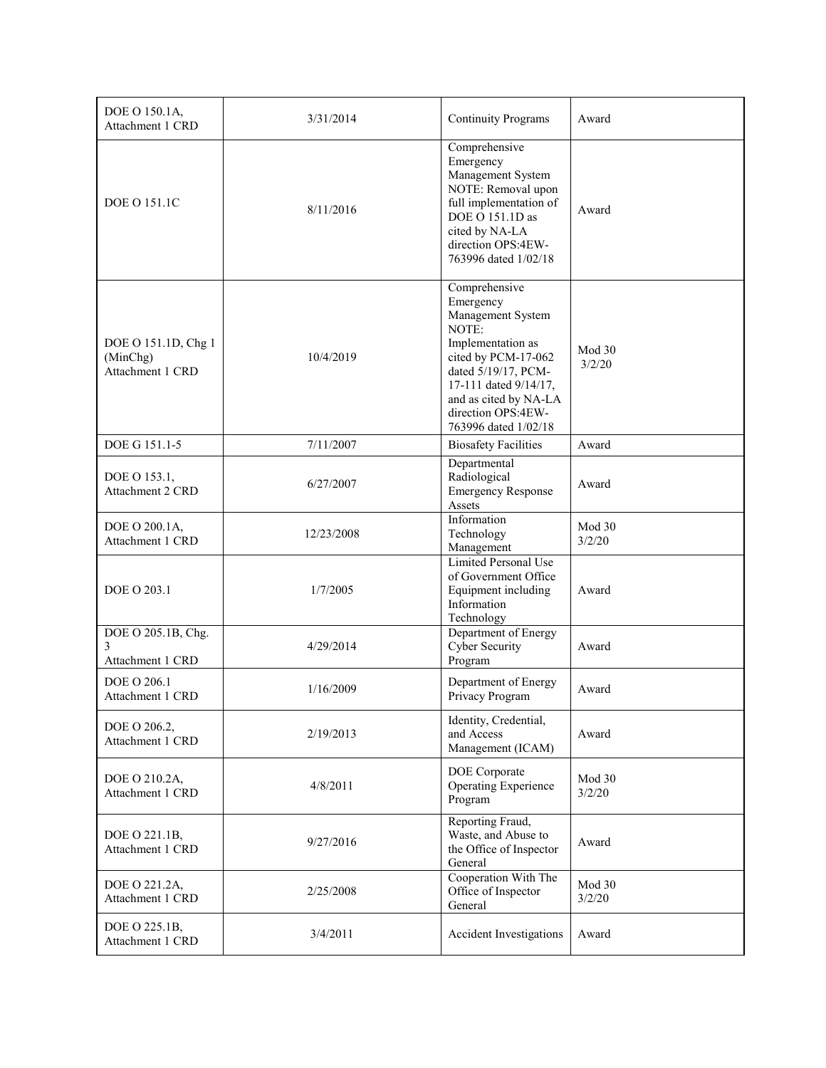| DOE O 150.1A,<br>Attachment 1 CRD                   | 3/31/2014  | <b>Continuity Programs</b>                                                                                                                                                                                                  | Award            |
|-----------------------------------------------------|------------|-----------------------------------------------------------------------------------------------------------------------------------------------------------------------------------------------------------------------------|------------------|
| <b>DOE O 151.1C</b>                                 | 8/11/2016  | Comprehensive<br>Emergency<br>Management System<br>NOTE: Removal upon<br>full implementation of<br>DOE O 151.1D as<br>cited by NA-LA<br>direction OPS:4EW-<br>763996 dated 1/02/18                                          | Award            |
| DOE O 151.1D, Chg 1<br>(MinChg)<br>Attachment 1 CRD | 10/4/2019  | Comprehensive<br>Emergency<br>Management System<br>NOTE:<br>Implementation as<br>cited by PCM-17-062<br>dated 5/19/17, PCM-<br>17-111 dated 9/14/17,<br>and as cited by NA-LA<br>direction OPS:4EW-<br>763996 dated 1/02/18 | Mod 30<br>3/2/20 |
| DOE G 151.1-5                                       | 7/11/2007  | <b>Biosafety Facilities</b>                                                                                                                                                                                                 | Award            |
| DOE O 153.1,<br>Attachment 2 CRD                    | 6/27/2007  | Departmental<br>Radiological<br><b>Emergency Response</b><br>Assets                                                                                                                                                         | Award            |
| DOE O 200.1A,<br>Attachment 1 CRD                   | 12/23/2008 | Information<br>Technology<br>Management                                                                                                                                                                                     | Mod 30<br>3/2/20 |
| DOE O 203.1                                         | 1/7/2005   | Limited Personal Use<br>of Government Office<br>Equipment including<br>Information<br>Technology                                                                                                                            | Award            |
| DOE O 205.1B, Chg.<br>3<br>Attachment 1 CRD         | 4/29/2014  | Department of Energy<br><b>Cyber Security</b><br>Program                                                                                                                                                                    | Award            |
| DOE O 206.1<br>Attachment 1 CRD                     | 1/16/2009  | Department of Energy<br>Privacy Program                                                                                                                                                                                     | Award            |
| DOE O 206.2,<br>Attachment 1 CRD                    | 2/19/2013  | Identity, Credential,<br>and Access<br>Management (ICAM)                                                                                                                                                                    | Award            |
| DOE O 210.2A,<br>Attachment 1 CRD                   | 4/8/2011   | DOE Corporate<br><b>Operating Experience</b><br>Program                                                                                                                                                                     | Mod 30<br>3/2/20 |
| DOE O 221.1B,<br>Attachment 1 CRD                   | 9/27/2016  | Reporting Fraud,<br>Waste, and Abuse to<br>the Office of Inspector<br>General                                                                                                                                               | Award            |
| DOE O 221.2A,<br>Attachment 1 CRD                   | 2/25/2008  | Cooperation With The<br>Office of Inspector<br>General                                                                                                                                                                      | Mod 30<br>3/2/20 |
| DOE O 225.1B,<br>Attachment 1 CRD                   | 3/4/2011   | Accident Investigations                                                                                                                                                                                                     | Award            |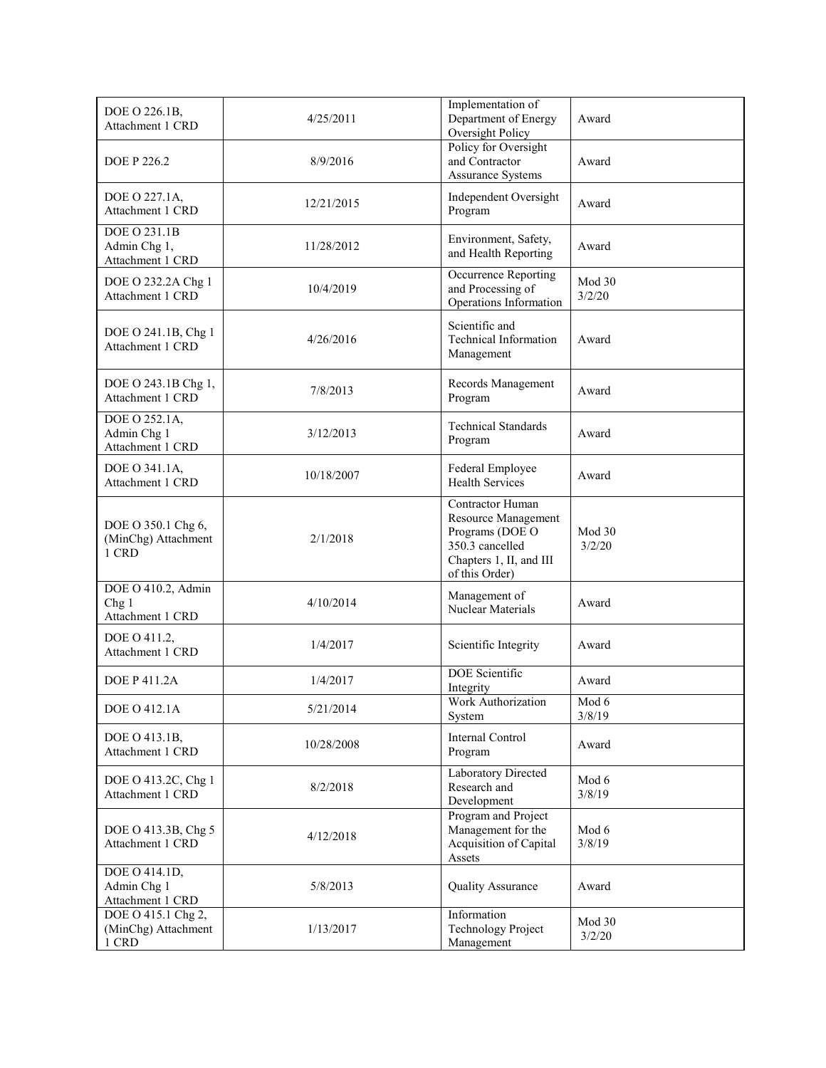| DOE O 226.1B,<br>Attachment 1 CRD                          | 4/25/2011  | Implementation of<br>Department of Energy<br>Oversight Policy                                                              | Award            |
|------------------------------------------------------------|------------|----------------------------------------------------------------------------------------------------------------------------|------------------|
| <b>DOE P 226.2</b>                                         | 8/9/2016   | Policy for Oversight<br>and Contractor<br><b>Assurance Systems</b>                                                         | Award            |
| DOE O 227.1A,<br>Attachment 1 CRD                          | 12/21/2015 | Independent Oversight<br>Program                                                                                           | Award            |
| DOE O 231.1B<br>Admin Chg 1,<br>Attachment 1 CRD           | 11/28/2012 | Environment, Safety,<br>and Health Reporting                                                                               | Award            |
| DOE O 232.2A Chg 1<br>Attachment 1 CRD                     | 10/4/2019  | Occurrence Reporting<br>and Processing of<br>Operations Information                                                        | Mod 30<br>3/2/20 |
| DOE O 241.1B, Chg 1<br>Attachment 1 CRD                    | 4/26/2016  | Scientific and<br><b>Technical Information</b><br>Management                                                               | Award            |
| DOE O 243.1B Chg 1,<br>Attachment 1 CRD                    | 7/8/2013   | Records Management<br>Program                                                                                              | Award            |
| DOE O 252.1A,<br>Admin Chg 1<br>Attachment 1 CRD           | 3/12/2013  | <b>Technical Standards</b><br>Program                                                                                      | Award            |
| DOE O 341.1A,<br>Attachment 1 CRD                          | 10/18/2007 | Federal Employee<br><b>Health Services</b>                                                                                 | Award            |
| DOE O 350.1 Chg 6,<br>(MinChg) Attachment<br>1 CRD         | 2/1/2018   | Contractor Human<br>Resource Management<br>Programs (DOE O<br>350.3 cancelled<br>Chapters 1, II, and III<br>of this Order) | Mod 30<br>3/2/20 |
| DOE O 410.2, Admin<br>Chg <sub>1</sub><br>Attachment 1 CRD | 4/10/2014  | Management of<br><b>Nuclear Materials</b>                                                                                  | Award            |
| DOE O 411.2.<br>Attachment 1 CRD                           | 1/4/2017   | Scientific Integrity                                                                                                       | Award            |
| <b>DOE P 411.2A</b>                                        | 1/4/2017   | <b>DOE</b> Scientific<br>Integrity                                                                                         | Award            |
| DOE O 412.1A                                               | 5/21/2014  | Work Authorization<br>System                                                                                               | Mod 6<br>3/8/19  |
| DOE O 413.1B,<br>Attachment 1 CRD                          | 10/28/2008 | Internal Control<br>Program                                                                                                | Award            |
| DOE O 413.2C, Chg 1<br>Attachment 1 CRD                    | 8/2/2018   | Laboratory Directed<br>Research and<br>Development                                                                         | Mod 6<br>3/8/19  |
| DOE O 413.3B, Chg 5<br>Attachment 1 CRD                    | 4/12/2018  | Program and Project<br>Management for the<br>Acquisition of Capital<br>Assets                                              | Mod 6<br>3/8/19  |
| DOE O 414.1D,<br>Admin Chg 1<br>Attachment 1 CRD           | 5/8/2013   | <b>Quality Assurance</b>                                                                                                   | Award            |
| DOE O 415.1 Chg 2,<br>(MinChg) Attachment<br>1 CRD         | 1/13/2017  | Information<br><b>Technology Project</b><br>Management                                                                     | Mod 30<br>3/2/20 |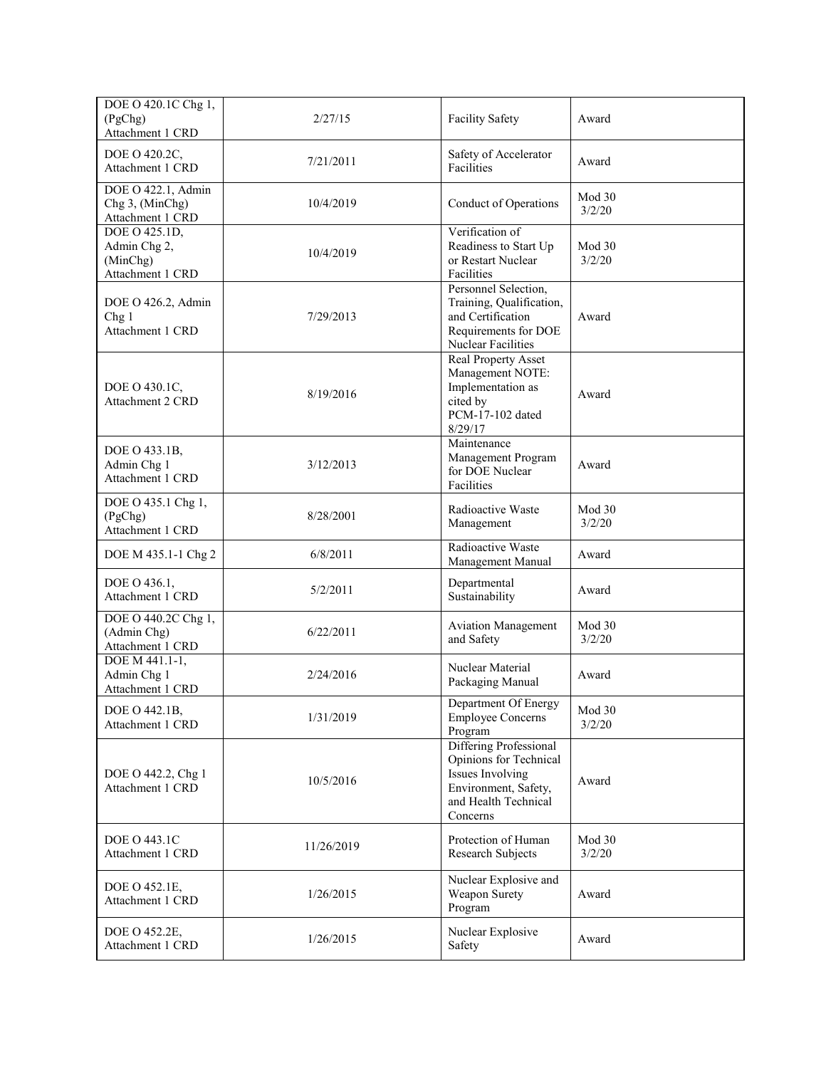| DOE O 420.1C Chg 1,<br>(PgChg)<br>Attachment 1 CRD            | 2/27/15    | <b>Facility Safety</b>                                                                                                           | Award            |
|---------------------------------------------------------------|------------|----------------------------------------------------------------------------------------------------------------------------------|------------------|
| DOE O 420.2C,<br>Attachment 1 CRD                             | 7/21/2011  | Safety of Accelerator<br>Facilities                                                                                              | Award            |
| DOE O 422.1, Admin<br>Chg 3, (MinChg)<br>Attachment 1 CRD     | 10/4/2019  | Conduct of Operations                                                                                                            | Mod 30<br>3/2/20 |
| DOE O 425.1D,<br>Admin Chg 2,<br>(MinChg)<br>Attachment 1 CRD | 10/4/2019  | Verification of<br>Readiness to Start Up<br>or Restart Nuclear<br>Facilities                                                     | Mod 30<br>3/2/20 |
| DOE O 426.2, Admin<br>Chg <sub>1</sub><br>Attachment 1 CRD    | 7/29/2013  | Personnel Selection,<br>Training, Qualification,<br>and Certification<br>Requirements for DOE<br>Nuclear Facilities              | Award            |
| DOE O 430.1C,<br>Attachment 2 CRD                             | 8/19/2016  | <b>Real Property Asset</b><br>Management NOTE:<br>Implementation as<br>cited by<br>PCM-17-102 dated<br>8/29/17                   | Award            |
| DOE O 433.1B,<br>Admin Chg 1<br>Attachment 1 CRD              | 3/12/2013  | Maintenance<br>Management Program<br>for DOE Nuclear<br>Facilities                                                               | Award            |
| DOE O 435.1 Chg 1,<br>(PgChg)<br>Attachment 1 CRD             | 8/28/2001  | Radioactive Waste<br>Management                                                                                                  | Mod 30<br>3/2/20 |
| DOE M 435.1-1 Chg 2                                           | 6/8/2011   | Radioactive Waste<br>Management Manual                                                                                           | Award            |
| DOE O 436.1,<br>Attachment 1 CRD                              | 5/2/2011   | Departmental<br>Sustainability                                                                                                   | Award            |
| DOE O 440.2C Chg 1,<br>(Admin Chg)<br>Attachment 1 CRD        | 6/22/2011  | <b>Aviation Management</b><br>and Safety                                                                                         | Mod 30<br>3/2/20 |
| DOE M 441.1-1,<br>Admin Chg 1<br>Attachment 1 CRD             | 2/24/2016  | Nuclear Material<br>Packaging Manual                                                                                             | Award            |
| DOE O 442.1B,<br>Attachment 1 CRD                             | 1/31/2019  | Department Of Energy<br><b>Employee Concerns</b><br>Program                                                                      | Mod 30<br>3/2/20 |
| DOE O 442.2, Chg 1<br>Attachment 1 CRD                        | 10/5/2016  | Differing Professional<br>Opinions for Technical<br>Issues Involving<br>Environment, Safety,<br>and Health Technical<br>Concerns | Award            |
| DOE O 443.1C<br>Attachment 1 CRD                              | 11/26/2019 | Protection of Human<br>Research Subjects                                                                                         | Mod 30<br>3/2/20 |
| DOE O 452.1E,<br>Attachment 1 CRD                             | 1/26/2015  | Nuclear Explosive and<br>Weapon Surety<br>Program                                                                                | Award            |
| DOE O 452.2E,<br>Attachment 1 CRD                             | 1/26/2015  | Nuclear Explosive<br>Safety                                                                                                      | Award            |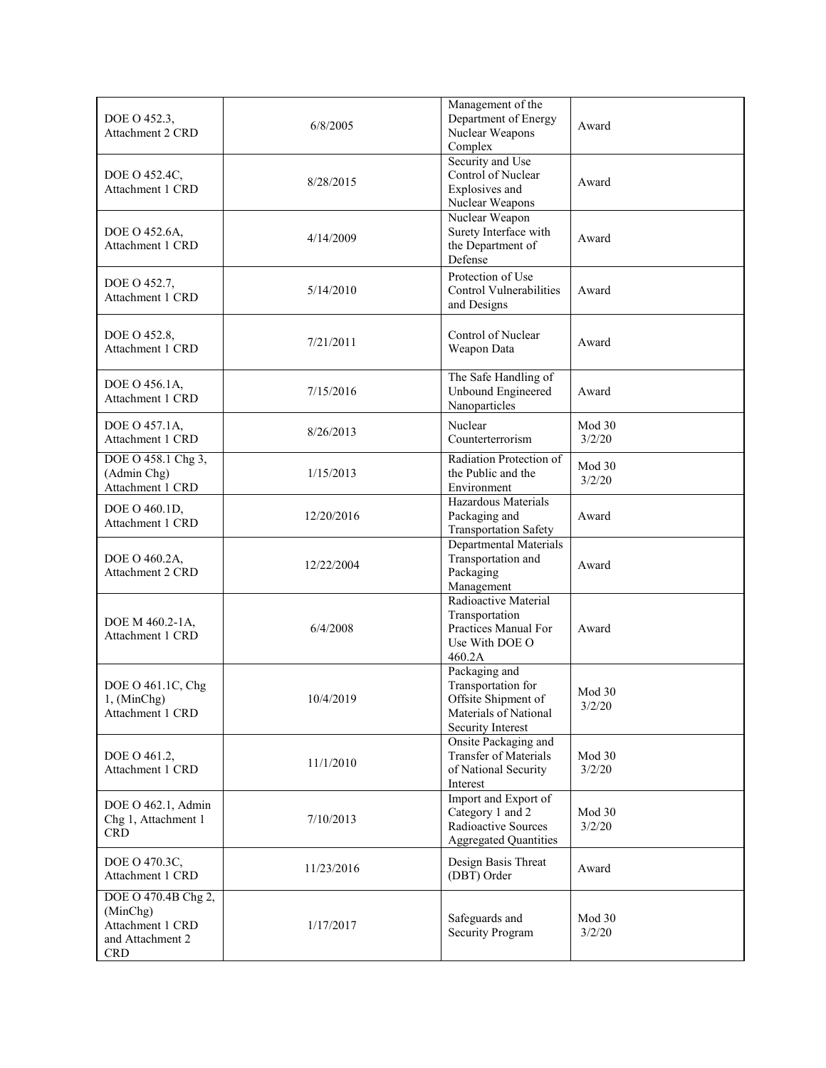| DOE O 452.3,<br>Attachment 2 CRD                                                      | 6/8/2005   | Management of the<br>Department of Energy<br>Nuclear Weapons<br>Complex                                  | Award            |
|---------------------------------------------------------------------------------------|------------|----------------------------------------------------------------------------------------------------------|------------------|
| DOE O 452.4C,<br>Attachment 1 CRD                                                     | 8/28/2015  | Security and Use<br>Control of Nuclear<br>Explosives and<br>Nuclear Weapons                              | Award            |
| DOE O 452.6A,<br>Attachment 1 CRD                                                     | 4/14/2009  | Nuclear Weapon<br>Surety Interface with<br>the Department of<br>Defense                                  | Award            |
| DOE O 452.7,<br>Attachment 1 CRD                                                      | 5/14/2010  | Protection of Use<br>Control Vulnerabilities<br>and Designs                                              | Award            |
| DOE O 452.8,<br>Attachment 1 CRD                                                      | 7/21/2011  | Control of Nuclear<br>Weapon Data                                                                        | Award            |
| DOE O 456.1A.<br>Attachment 1 CRD                                                     | 7/15/2016  | The Safe Handling of<br>Unbound Engineered<br>Nanoparticles                                              | Award            |
| DOE O 457.1A,<br>Attachment 1 CRD                                                     | 8/26/2013  | Nuclear<br>Counterterrorism                                                                              | Mod 30<br>3/2/20 |
| DOE O 458.1 Chg 3,<br>(Admin Chg)<br>Attachment 1 CRD                                 | 1/15/2013  | Radiation Protection of<br>the Public and the<br>Environment                                             | Mod 30<br>3/2/20 |
| DOE O 460.1D,<br>Attachment 1 CRD                                                     | 12/20/2016 | Hazardous Materials<br>Packaging and<br><b>Transportation Safety</b>                                     | Award            |
| DOE O 460.2A,<br>Attachment 2 CRD                                                     | 12/22/2004 | Departmental Materials<br>Transportation and<br>Packaging<br>Management                                  | Award            |
| DOE M 460.2-1A,<br>Attachment 1 CRD                                                   | 6/4/2008   | Radioactive Material<br>Transportation<br>Practices Manual For<br>Use With DOE O<br>460.2A               | Award            |
| DOE O 461.1C, Chg<br>1, (MinChg)<br>Attachment 1 CRD                                  | 10/4/2019  | Packaging and<br>Transportation for<br>Offsite Shipment of<br>Materials of National<br>Security Interest | Mod 30<br>3/2/20 |
| DOE O 461.2,<br>Attachment 1 CRD                                                      | 11/1/2010  | Onsite Packaging and<br>Transfer of Materials<br>of National Security<br>Interest                        | Mod 30<br>3/2/20 |
| DOE O 462.1, Admin<br>Chg 1, Attachment 1<br><b>CRD</b>                               | 7/10/2013  | Import and Export of<br>Category 1 and 2<br>Radioactive Sources<br><b>Aggregated Quantities</b>          | Mod 30<br>3/2/20 |
| DOE O 470.3C,<br>Attachment 1 CRD                                                     | 11/23/2016 | Design Basis Threat<br>(DBT) Order                                                                       | Award            |
| DOE O 470.4B Chg 2,<br>(MinChg)<br>Attachment 1 CRD<br>and Attachment 2<br><b>CRD</b> | 1/17/2017  | Safeguards and<br>Security Program                                                                       | Mod 30<br>3/2/20 |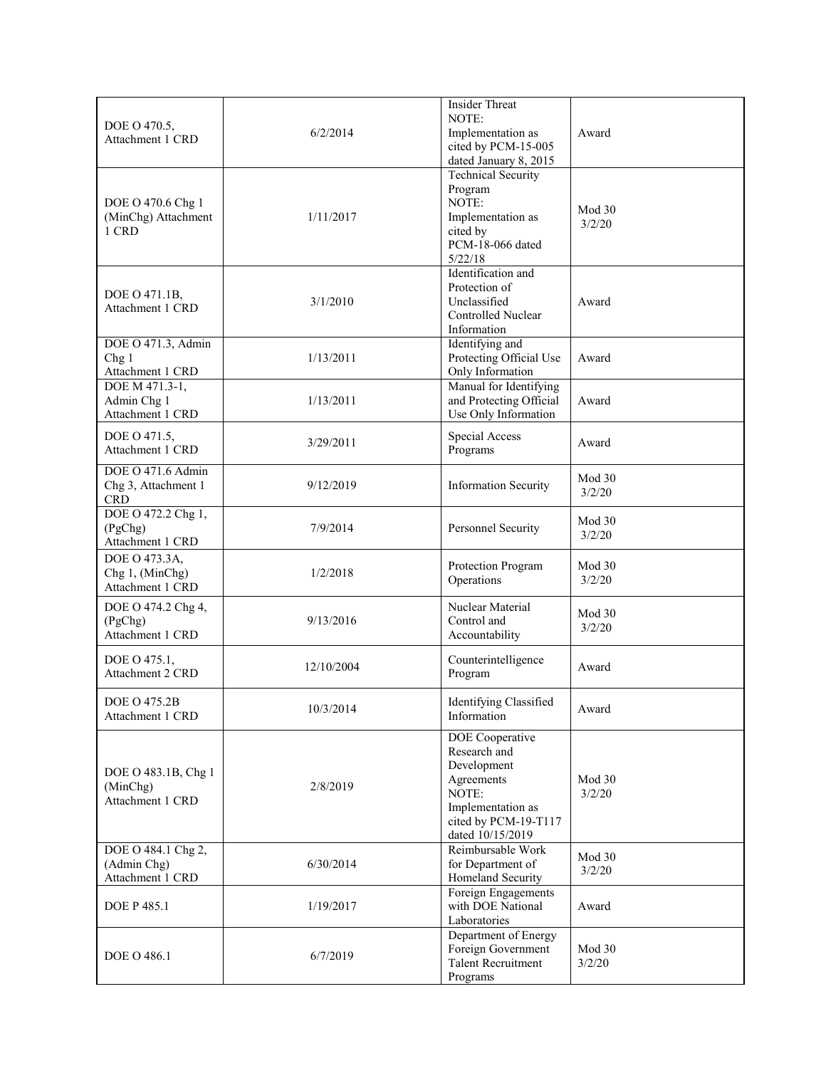| DOE O 470.5,<br>Attachment 1 CRD                       | 6/2/2014   | <b>Insider Threat</b><br>NOTE:<br>Implementation as<br>cited by PCM-15-005<br>dated January 8, 2015                                    | Award            |
|--------------------------------------------------------|------------|----------------------------------------------------------------------------------------------------------------------------------------|------------------|
| DOE O 470.6 Chg 1<br>(MinChg) Attachment<br>1 CRD      | 1/11/2017  | <b>Technical Security</b><br>Program<br>NOTE:<br>Implementation as<br>cited by<br>PCM-18-066 dated<br>5/22/18                          | Mod 30<br>3/2/20 |
| DOE O 471.1B,<br>Attachment 1 CRD                      | 3/1/2010   | Identification and<br>Protection of<br>Unclassified<br>Controlled Nuclear<br>Information                                               | Award            |
| DOE O 471.3, Admin<br>Chg1<br>Attachment 1 CRD         | 1/13/2011  | Identifying and<br>Protecting Official Use<br>Only Information                                                                         | Award            |
| DOE M 471.3-1,<br>Admin Chg 1<br>Attachment 1 CRD      | 1/13/2011  | Manual for Identifying<br>and Protecting Official<br>Use Only Information                                                              | Award            |
| DOE O 471.5,<br>Attachment 1 CRD                       | 3/29/2011  | Special Access<br>Programs                                                                                                             | Award            |
| DOE O 471.6 Admin<br>Chg 3, Attachment 1<br><b>CRD</b> | 9/12/2019  | <b>Information Security</b>                                                                                                            | Mod 30<br>3/2/20 |
| DOE O 472.2 Chg 1,<br>(PgChg)<br>Attachment 1 CRD      | 7/9/2014   | Personnel Security                                                                                                                     | Mod 30<br>3/2/20 |
| DOE O 473.3A,<br>Chg 1, (MinChg)<br>Attachment 1 CRD   | 1/2/2018   | Protection Program<br>Operations                                                                                                       | Mod 30<br>3/2/20 |
| DOE O 474.2 Chg 4,<br>(PgChg)<br>Attachment 1 CRD      | 9/13/2016  | Nuclear Material<br>Control and<br>Accountability                                                                                      | Mod 30<br>3/2/20 |
| DOE O 475.1,<br>Attachment 2 CRD                       | 12/10/2004 | Counterintelligence<br>Program                                                                                                         | Award            |
| <b>DOE O 475.2B</b><br>Attachment 1 CRD                | 10/3/2014  | Identifying Classified<br>Information                                                                                                  | Award            |
| DOE O 483.1B, Chg 1<br>(MinChg)<br>Attachment 1 CRD    | 2/8/2019   | DOE Cooperative<br>Research and<br>Development<br>Agreements<br>NOTE:<br>Implementation as<br>cited by PCM-19-T117<br>dated 10/15/2019 | Mod 30<br>3/2/20 |
| DOE O 484.1 Chg 2,<br>(Admin Chg)<br>Attachment 1 CRD  | 6/30/2014  | Reimbursable Work<br>for Department of<br>Homeland Security                                                                            | Mod 30<br>3/2/20 |
| <b>DOE P 485.1</b>                                     | 1/19/2017  | Foreign Engagements<br>with DOE National<br>Laboratories                                                                               | Award            |
| <b>DOE O 486.1</b>                                     | 6/7/2019   | Department of Energy<br>Foreign Government<br><b>Talent Recruitment</b><br>Programs                                                    | Mod 30<br>3/2/20 |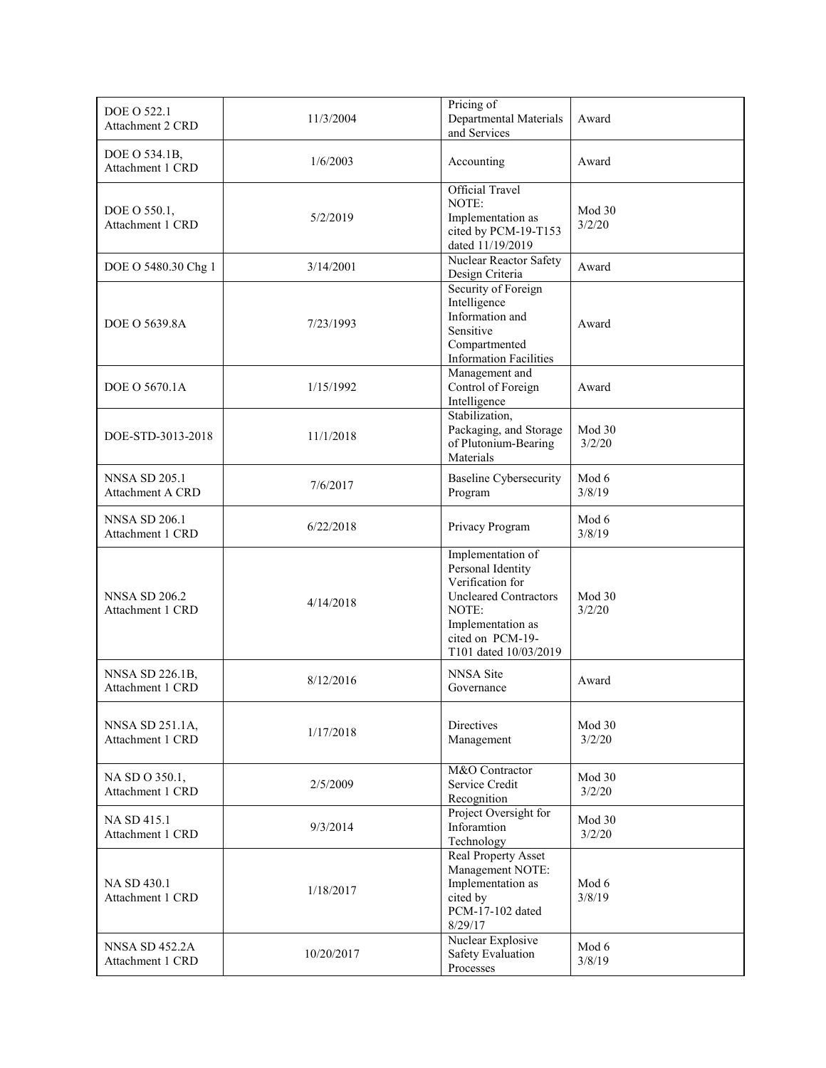| DOE O 522.1<br>Attachment 2 CRD           | 11/3/2004  | Pricing of<br>Departmental Materials<br>and Services                                                                                                                  | Award            |
|-------------------------------------------|------------|-----------------------------------------------------------------------------------------------------------------------------------------------------------------------|------------------|
| DOE O 534.1B,<br>Attachment 1 CRD         | 1/6/2003   | Accounting                                                                                                                                                            | Award            |
| DOE O 550.1,<br>Attachment 1 CRD          | 5/2/2019   | Official Travel<br>NOTE:<br>Implementation as<br>cited by PCM-19-T153<br>dated 11/19/2019                                                                             | Mod 30<br>3/2/20 |
| DOE O 5480.30 Chg 1                       | 3/14/2001  | Nuclear Reactor Safety<br>Design Criteria                                                                                                                             | Award            |
| DOE O 5639.8A                             | 7/23/1993  | Security of Foreign<br>Intelligence<br>Information and<br>Sensitive<br>Compartmented<br><b>Information Facilities</b>                                                 | Award            |
| DOE O 5670.1A                             | 1/15/1992  | Management and<br>Control of Foreign<br>Intelligence                                                                                                                  | Award            |
| DOE-STD-3013-2018                         | 11/1/2018  | Stabilization,<br>Packaging, and Storage<br>of Plutonium-Bearing<br>Materials                                                                                         | Mod 30<br>3/2/20 |
| <b>NNSA SD 205.1</b><br>Attachment A CRD  | 7/6/2017   | <b>Baseline Cybersecurity</b><br>Program                                                                                                                              | Mod 6<br>3/8/19  |
| <b>NNSA SD 206.1</b><br>Attachment 1 CRD  | 6/22/2018  | Privacy Program                                                                                                                                                       | Mod 6<br>3/8/19  |
| <b>NNSA SD 206.2</b><br>Attachment 1 CRD  | 4/14/2018  | Implementation of<br>Personal Identity<br>Verification for<br><b>Uncleared Contractors</b><br>NOTE:<br>Implementation as<br>cited on PCM-19-<br>T101 dated 10/03/2019 | Mod 30<br>3/2/20 |
| NNSA SD 226.1B,<br>Attachment 1 CRD       | 8/12/2016  | NNSA Site<br>Governance                                                                                                                                               | Award            |
| NNSA SD 251.1A,<br>Attachment 1 CRD       | 1/17/2018  | <b>Directives</b><br>Management                                                                                                                                       | Mod 30<br>3/2/20 |
| NA SD O 350.1,<br>Attachment 1 CRD        | 2/5/2009   | M&O Contractor<br>Service Credit<br>Recognition                                                                                                                       | Mod 30<br>3/2/20 |
| NA SD 415.1<br>Attachment 1 CRD           | 9/3/2014   | Project Oversight for<br>Inforamtion<br>Technology                                                                                                                    | Mod 30<br>3/2/20 |
| NA SD 430.1<br>Attachment 1 CRD           | 1/18/2017  | Real Property Asset<br>Management NOTE:<br>Implementation as<br>cited by<br>PCM-17-102 dated<br>8/29/17                                                               | Mod 6<br>3/8/19  |
| <b>NNSA SD 452.2A</b><br>Attachment 1 CRD | 10/20/2017 | Nuclear Explosive<br>Safety Evaluation<br>Processes                                                                                                                   | Mod 6<br>3/8/19  |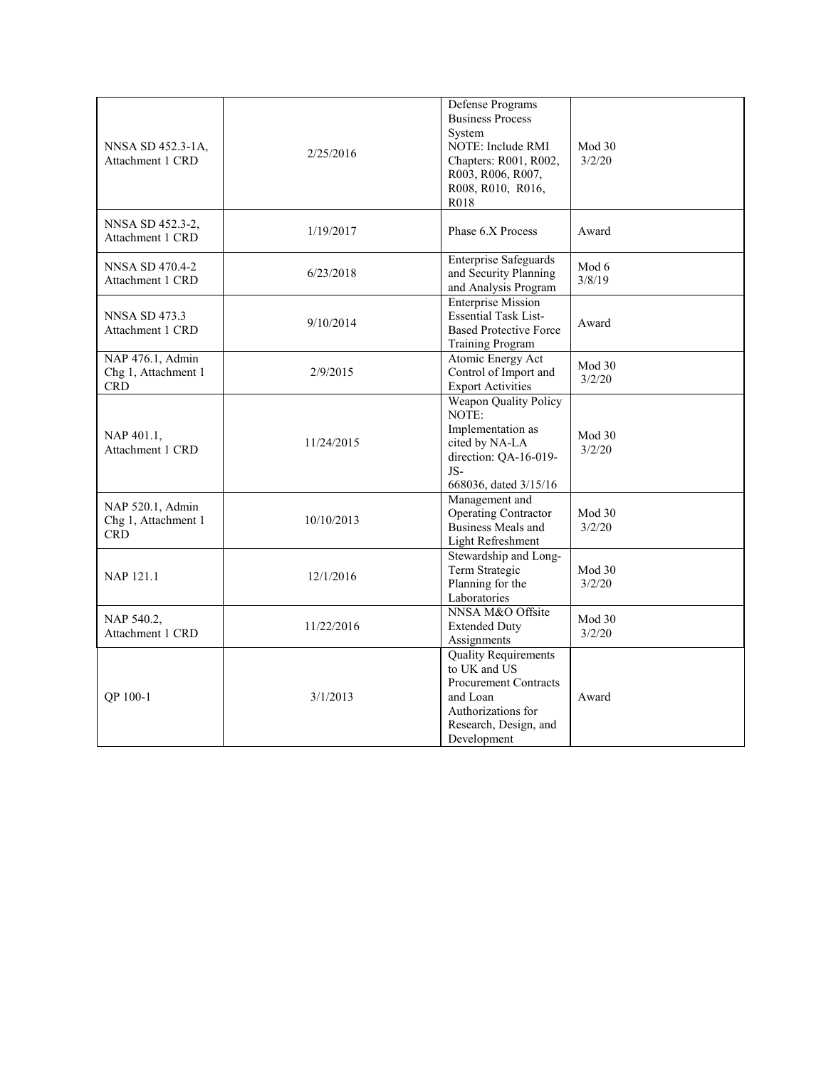|                                                       |            | Defense Programs<br><b>Business Process</b><br>System                                                                                                 |                  |
|-------------------------------------------------------|------------|-------------------------------------------------------------------------------------------------------------------------------------------------------|------------------|
| NNSA SD 452.3-1A,<br>Attachment 1 CRD                 | 2/25/2016  | NOTE: Include RMI<br>Chapters: R001, R002,<br>R003, R006, R007,                                                                                       | Mod 30<br>3/2/20 |
|                                                       |            | R008, R010, R016,<br>R018                                                                                                                             |                  |
| NNSA SD 452.3-2,<br>Attachment 1 CRD                  | 1/19/2017  | Phase 6.X Process                                                                                                                                     | Award            |
| NNSA SD 470.4-2<br>Attachment 1 CRD                   | 6/23/2018  | <b>Enterprise Safeguards</b><br>and Security Planning<br>and Analysis Program                                                                         | Mod 6<br>3/8/19  |
| NNSA SD 473.3<br>Attachment 1 CRD                     | 9/10/2014  | <b>Enterprise Mission</b><br><b>Essential Task List-</b><br><b>Based Protective Force</b><br><b>Training Program</b>                                  | Award            |
| NAP 476.1, Admin<br>Chg 1, Attachment 1<br><b>CRD</b> | 2/9/2015   | Atomic Energy Act<br>Control of Import and<br><b>Export Activities</b>                                                                                | Mod 30<br>3/2/20 |
| NAP 401.1,<br>Attachment 1 CRD                        | 11/24/2015 | <b>Weapon Quality Policy</b><br>NOTE:<br>Implementation as<br>cited by NA-LA<br>direction: QA-16-019-<br>JS-<br>668036, dated 3/15/16                 | Mod 30<br>3/2/20 |
| NAP 520.1, Admin<br>Chg 1, Attachment 1<br><b>CRD</b> | 10/10/2013 | Management and<br><b>Operating Contractor</b><br>Business Meals and<br>Light Refreshment                                                              | Mod 30<br>3/2/20 |
| NAP 121.1                                             | 12/1/2016  | Stewardship and Long-<br>Term Strategic<br>Planning for the<br>Laboratories                                                                           | Mod 30<br>3/2/20 |
| NAP 540.2,<br>Attachment 1 CRD                        | 11/22/2016 | NNSA M&O Offsite<br><b>Extended Duty</b><br>Assignments                                                                                               | Mod 30<br>3/2/20 |
| OP 100-1                                              | 3/1/2013   | <b>Quality Requirements</b><br>to UK and US<br><b>Procurement Contracts</b><br>and Loan<br>Authorizations for<br>Research, Design, and<br>Development | Award            |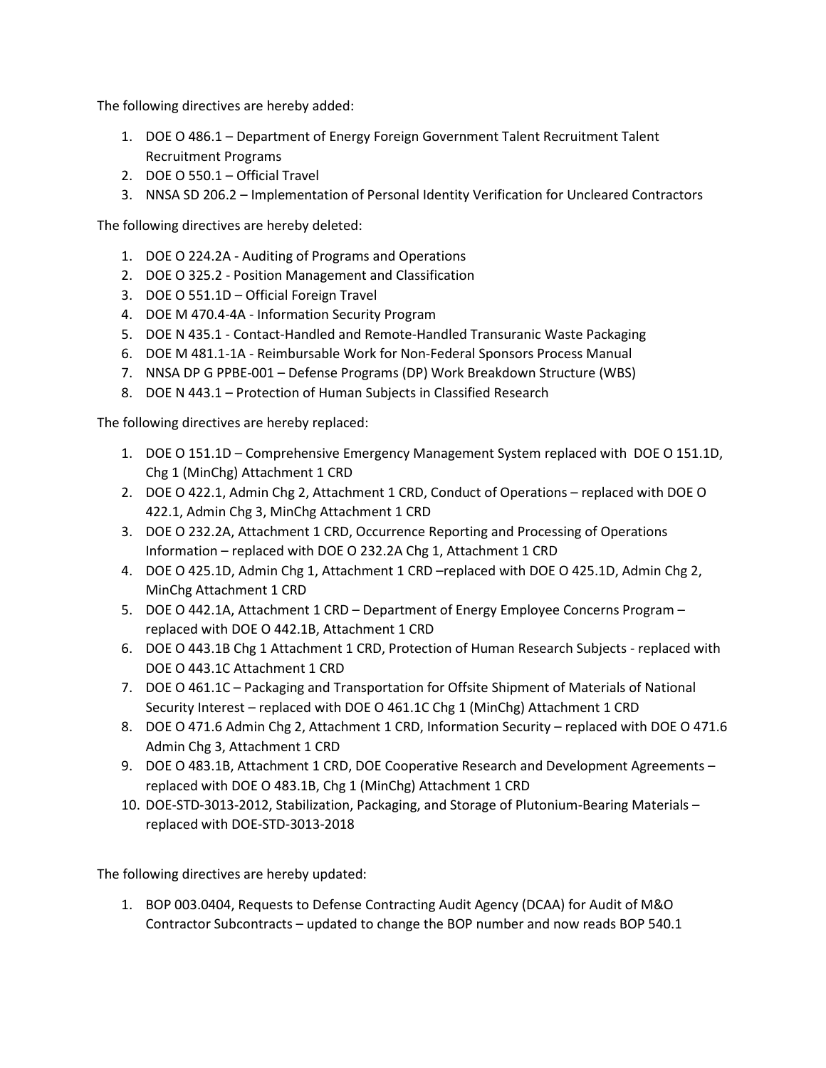The following directives are hereby added:

- 1. DOE O 486.1 Department of Energy Foreign Government Talent Recruitment Talent Recruitment Programs
- 2. DOE O 550.1 Official Travel
- 3. NNSA SD 206.2 Implementation of Personal Identity Verification for Uncleared Contractors

The following directives are hereby deleted:

- 1. DOE O 224.2A Auditing of Programs and Operations
- 2. DOE O 325.2 Position Management and Classification
- 3. DOE O 551.1D Official Foreign Travel
- 4. DOE M 470.4-4A Information Security Program
- 5. DOE N 435.1 Contact-Handled and Remote-Handled Transuranic Waste Packaging
- 6. DOE M 481.1-1A Reimbursable Work for Non-Federal Sponsors Process Manual
- 7. NNSA DP G PPBE-001 Defense Programs (DP) Work Breakdown Structure (WBS)
- 8. DOE N 443.1 Protection of Human Subjects in Classified Research

The following directives are hereby replaced:

- 1. DOE O 151.1D Comprehensive Emergency Management System replaced with DOE O 151.1D, Chg 1 (MinChg) Attachment 1 CRD
- 2. DOE O 422.1, Admin Chg 2, Attachment 1 CRD, Conduct of Operations replaced with DOE O 422.1, Admin Chg 3, MinChg Attachment 1 CRD
- 3. DOE O 232.2A, Attachment 1 CRD, Occurrence Reporting and Processing of Operations Information – replaced with DOE O 232.2A Chg 1, Attachment 1 CRD
- 4. DOE O 425.1D, Admin Chg 1, Attachment 1 CRD –replaced with DOE O 425.1D, Admin Chg 2, MinChg Attachment 1 CRD
- 5. DOE O 442.1A, Attachment 1 CRD Department of Energy Employee Concerns Program replaced with DOE O 442.1B, Attachment 1 CRD
- 6. DOE O 443.1B Chg 1 Attachment 1 CRD, Protection of Human Research Subjects replaced with DOE O 443.1C Attachment 1 CRD
- 7. DOE O 461.1C Packaging and Transportation for Offsite Shipment of Materials of National Security Interest – replaced with DOE O 461.1C Chg 1 (MinChg) Attachment 1 CRD
- 8. DOE O 471.6 Admin Chg 2, Attachment 1 CRD, Information Security replaced with DOE O 471.6 Admin Chg 3, Attachment 1 CRD
- 9. DOE O 483.1B, Attachment 1 CRD, DOE Cooperative Research and Development Agreements replaced with DOE O 483.1B, Chg 1 (MinChg) Attachment 1 CRD
- 10. DOE-STD-3013-2012, Stabilization, Packaging, and Storage of Plutonium-Bearing Materials replaced with DOE-STD-3013-2018

The following directives are hereby updated:

1. BOP 003.0404, Requests to Defense Contracting Audit Agency (DCAA) for Audit of M&O Contractor Subcontracts – updated to change the BOP number and now reads BOP 540.1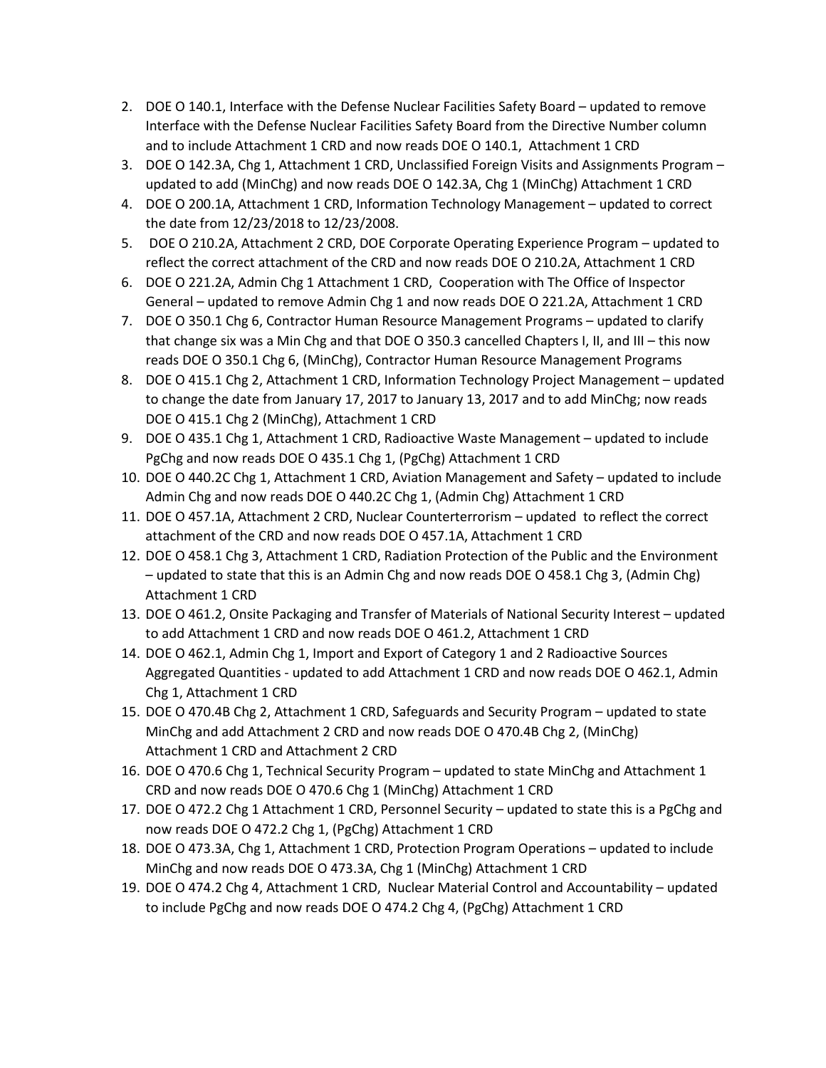- 2. DOE O 140.1, Interface with the Defense Nuclear Facilities Safety Board updated to remove Interface with the Defense Nuclear Facilities Safety Board from the Directive Number column and to include Attachment 1 CRD and now reads DOE O 140.1, Attachment 1 CRD
- 3. DOE O 142.3A, Chg 1, Attachment 1 CRD, Unclassified Foreign Visits and Assignments Program updated to add (MinChg) and now reads DOE O 142.3A, Chg 1 (MinChg) Attachment 1 CRD
- 4. DOE O 200.1A, Attachment 1 CRD, Information Technology Management updated to correct the date from 12/23/2018 to 12/23/2008.
- 5. DOE O 210.2A, Attachment 2 CRD, DOE Corporate Operating Experience Program updated to reflect the correct attachment of the CRD and now reads DOE O 210.2A, Attachment 1 CRD
- 6. DOE O 221.2A, Admin Chg 1 Attachment 1 CRD, Cooperation with The Office of Inspector General – updated to remove Admin Chg 1 and now reads DOE O 221.2A, Attachment 1 CRD
- 7. DOE O 350.1 Chg 6, Contractor Human Resource Management Programs updated to clarify that change six was a Min Chg and that DOE O 350.3 cancelled Chapters I, II, and III – this now reads DOE O 350.1 Chg 6, (MinChg), Contractor Human Resource Management Programs
- 8. DOE O 415.1 Chg 2, Attachment 1 CRD, Information Technology Project Management updated to change the date from January 17, 2017 to January 13, 2017 and to add MinChg; now reads DOE O 415.1 Chg 2 (MinChg), Attachment 1 CRD
- 9. DOE O 435.1 Chg 1, Attachment 1 CRD, Radioactive Waste Management updated to include PgChg and now reads DOE O 435.1 Chg 1, (PgChg) Attachment 1 CRD
- 10. DOE O 440.2C Chg 1, Attachment 1 CRD, Aviation Management and Safety updated to include Admin Chg and now reads DOE O 440.2C Chg 1, (Admin Chg) Attachment 1 CRD
- 11. DOE O 457.1A, Attachment 2 CRD, Nuclear Counterterrorism updated to reflect the correct attachment of the CRD and now reads DOE O 457.1A, Attachment 1 CRD
- 12. DOE O 458.1 Chg 3, Attachment 1 CRD, Radiation Protection of the Public and the Environment – updated to state that this is an Admin Chg and now reads DOE O 458.1 Chg 3, (Admin Chg) Attachment 1 CRD
- 13. DOE O 461.2, Onsite Packaging and Transfer of Materials of National Security Interest updated to add Attachment 1 CRD and now reads DOE O 461.2, Attachment 1 CRD
- 14. DOE O 462.1, Admin Chg 1, Import and Export of Category 1 and 2 Radioactive Sources Aggregated Quantities - updated to add Attachment 1 CRD and now reads DOE O 462.1, Admin Chg 1, Attachment 1 CRD
- 15. DOE O 470.4B Chg 2, Attachment 1 CRD, Safeguards and Security Program updated to state MinChg and add Attachment 2 CRD and now reads DOE O 470.4B Chg 2, (MinChg) Attachment 1 CRD and Attachment 2 CRD
- 16. DOE O 470.6 Chg 1, Technical Security Program updated to state MinChg and Attachment 1 CRD and now reads DOE O 470.6 Chg 1 (MinChg) Attachment 1 CRD
- 17. DOE O 472.2 Chg 1 Attachment 1 CRD, Personnel Security updated to state this is a PgChg and now reads DOE O 472.2 Chg 1, (PgChg) Attachment 1 CRD
- 18. DOE O 473.3A, Chg 1, Attachment 1 CRD, Protection Program Operations updated to include MinChg and now reads DOE O 473.3A, Chg 1 (MinChg) Attachment 1 CRD
- 19. DOE O 474.2 Chg 4, Attachment 1 CRD, Nuclear Material Control and Accountability updated to include PgChg and now reads DOE O 474.2 Chg 4, (PgChg) Attachment 1 CRD